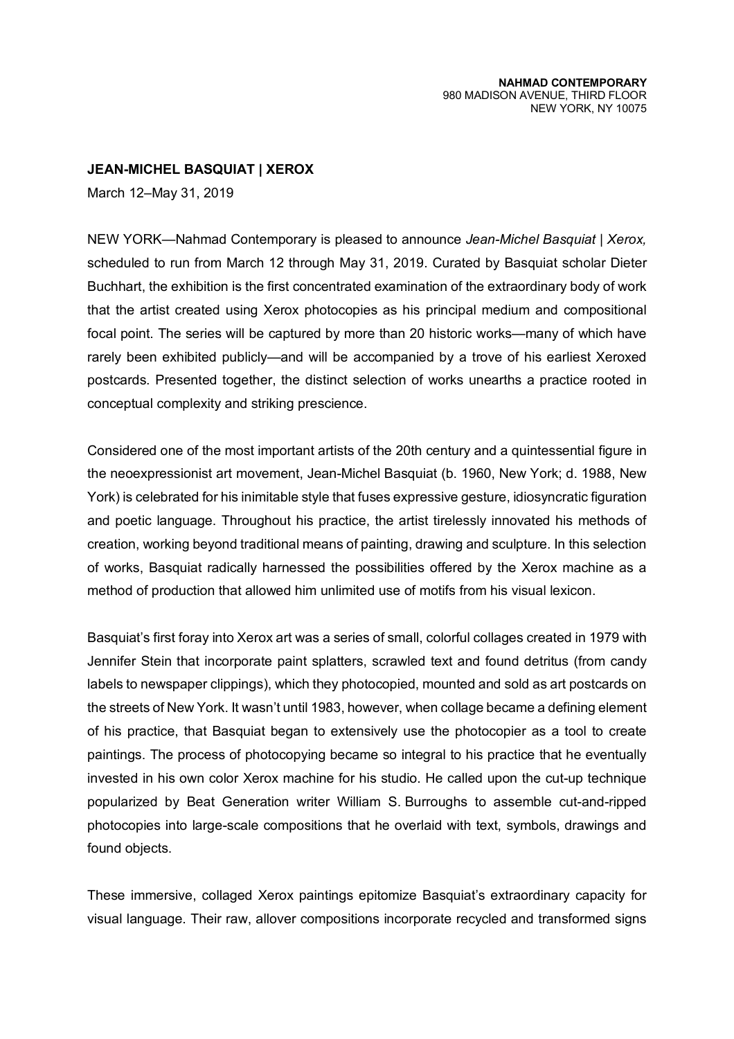**JEAN-MICHEL BASQUIAT | XEROX** 

March 12–May 31, 2019

NEW YORK—Nahmad Contemporary is pleased to announce *Jean-Michel Basquiat | Xerox,* scheduled to run from March 12 through May 31, 2019. Curated by Basquiat scholar Dieter Buchhart, the exhibition is the first concentrated examination of the extraordinary body of work that the artist created using Xerox photocopies as his principal medium and compositional focal point. The series will be captured by more than 20 historic works—many of which have rarely been exhibited publicly—and will be accompanied by a trove of his earliest Xeroxed postcards. Presented together, the distinct selection of works unearths a practice rooted in conceptual complexity and striking prescience.

Considered one of the most important artists of the 20th century and a quintessential figure in the neoexpressionist art movement, Jean-Michel Basquiat (b. 1960, New York; d. 1988, New York) is celebrated for his inimitable style that fuses expressive gesture, idiosyncratic figuration and poetic language. Throughout his practice, the artist tirelessly innovated his methods of creation, working beyond traditional means of painting, drawing and sculpture. In this selection of works, Basquiat radically harnessed the possibilities offered by the Xerox machine as a method of production that allowed him unlimited use of motifs from his visual lexicon.

Basquiat's first foray into Xerox art was a series of small, colorful collages created in 1979 with Jennifer Stein that incorporate paint splatters, scrawled text and found detritus (from candy labels to newspaper clippings), which they photocopied, mounted and sold as art postcards on the streets of New York. It wasn't until 1983, however, when collage became a defining element of his practice, that Basquiat began to extensively use the photocopier as a tool to create paintings. The process of photocopying became so integral to his practice that he eventually invested in his own color Xerox machine for his studio. He called upon the cut-up technique popularized by Beat Generation writer William S. Burroughs to assemble cut-and-ripped photocopies into large-scale compositions that he overlaid with text, symbols, drawings and found objects.

These immersive, collaged Xerox paintings epitomize Basquiat's extraordinary capacity for visual language. Their raw, allover compositions incorporate recycled and transformed signs